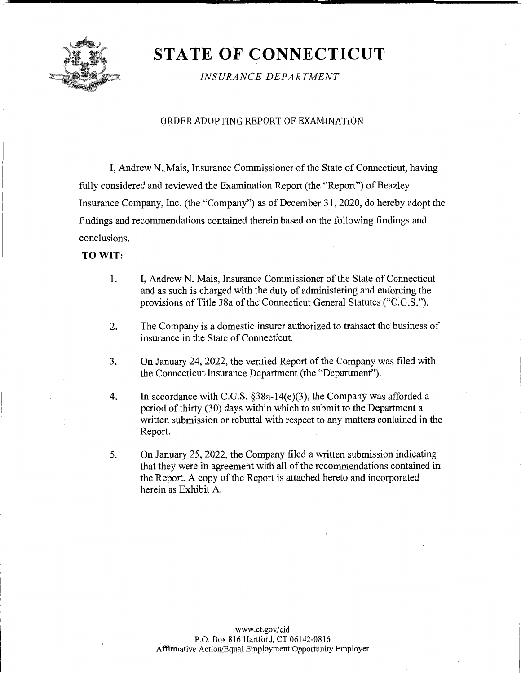

# **STATE OF CONNECTICUT**

*INSURANCE DEPARTMENT* 

#### ORDER ADOPTING REPORT OF EXAMINATION

I, Andrew N. Mais, Insurance Commissioner of the State of Connecticut, having fully considered and reviewed the Examination Report (the "Report") of Beazley Insurance Company, Inc. (the "Company") as of December 31, 2020, do hereby adopt the findings and recommendations contained therein based on the following findings and conclusions.

#### **TO WIT:**

- 1. I, Andrew N. Mais, Insurance Commissioner of the State of Connecticut and as such is charged with the duty of administering and enforcing the provisions of Title 38a of the Connecticut General Statutes ("C.G.S.").
- 2. The Company is a domestic insurer authorized to transact the business of insurance in the State of Connecticut.
- 3. On January 24, 2022, the verified Report of the Company was filed with the Connecticut Insurance Department (the "Department").
- 4. In accordance with C.G.S. §38a-14(e)(3), the Company was afforded a period of thirty (30) days within which to submit to the Department a written submission or rebuttal with respect to any matters contained in the Report.
- 5. On January 25, 2022, the Company filed a written submission indicating that they were in agreement with all of the recommendations contained in the Report. A copy of the Report is attached hereto and incorporated herein as Exhibit A.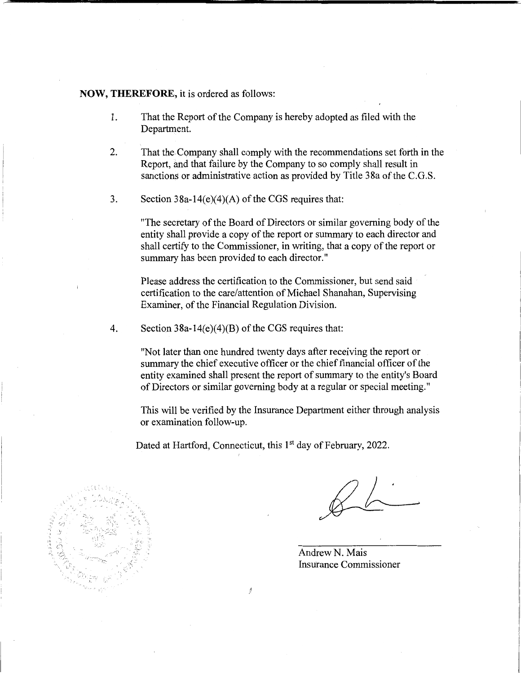#### **NOW, THEREFORE,** it is ordered as follows:

- 1. That the Report of the Company is hereby adopted as filed with the Department.
- 2. That the Company shall comply with the recommendations set forth in the Report, and that failure by the Company to so comply shall result in sanctions or administrative action as provided by Title 38a of the C.G.S.
- 3. Section  $38a-14(e)(4)(A)$  of the CGS requires that:

"The secretary of the Board of Directors or similar governing body of the entity shall provide a copy of the report or summary to each director and shall certify to the Commissioner, in writing, that a copy of the report or summary has been provided to each director."

Please address the certification to the Commissioner, but send said certification to the care/attention of Michael Shanahan, Supervising Examiner, of the Financial Regulation Division.

4. Section 38a-14(e)(4)(B) of the CGS requires that:

"Not later than one hundred twenty days after receiving the report or summary the chief executive officer or the chief financial officer of the entity examined shall present the report of summary to the entity's Board of Directors or similar governing body at a regular or special meeting."

This will be verified by the Insurance Department either through analysis or examination follow-up.

Dated at Hartford, Connecticut, this 1<sup>st</sup> day of February, 2022.

ś

Andrew N. Mais Insurance Commissioner

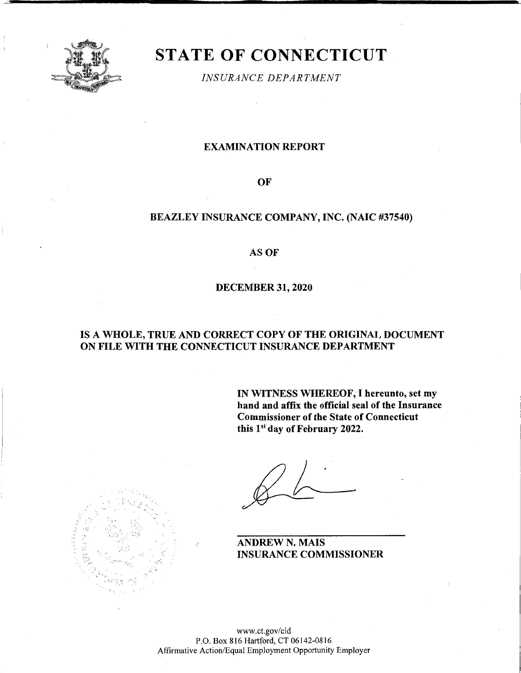

# **STATE OF CONNECTICUT**

*INSURANCE DEPARTMENT* 

#### EXAMINATION REPORT

OF

#### BEAZLEY INSURANCE COMPANY, INC. (NAIC #37540)

#### **AS OF**

#### DECEMBER 31, 2020

#### IS A WHOLE, TRUE AND CORRECT COPY OF THE ORIGINAL DOCUMENT ON FILE WITH THE CONNECTICUT INSURANCE DEPARTMENT

IN WITNESS WHEREOF, I hereunto, set my hand and affix the official seal of the Insurance Commissioner of the State of Connecticut this 1st day of February 2022.

ANDREW N. MAIS INSURANCE COMMISSIONER

www.ct.gov/cid P.O. Box 816 Hartford, CT 06142-0816 Affirmative Action/Equal Employment Opportunity Employer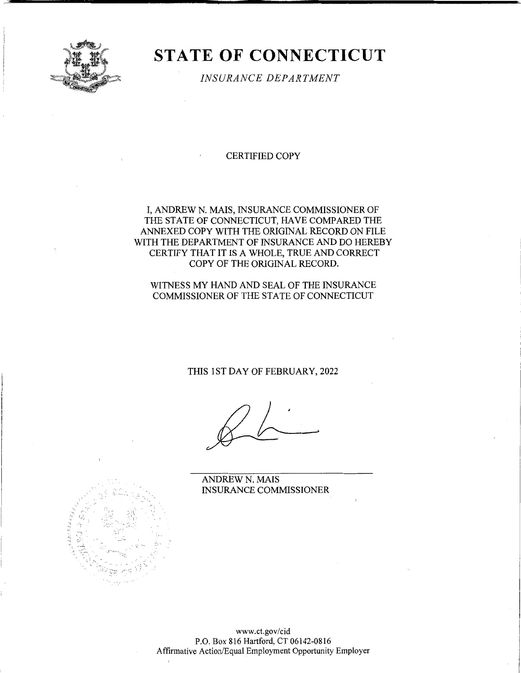

# **STATE OF CONNECTICUT**

*INSURANCE DEPARTMENT* 

CERTIFIED COPY

#### I, ANDREW N. MAIS, INSURANCE COMMISSIONER OF THE STATE OF CONNECTICUT, HAVE COMPARED THE ANNEXED COPY WITH THE ORIGINAL RECORD ON FILE WITH THE DEPARTMENT OF INSURANCE AND DO HEREBY CERTIFY THAT IT IS A WHOLE, TRUE AND CORRECT COPY OF THE ORIGINAL RECORD.

#### WITNESS MY HAND AND SEAL OF THE INSURANCE COMMISSIONER OF THE STATE OF CONNECTICUT

#### THIS 1ST DAY OF FEBRUARY, 2022

ANDREW N. MAIS INSURANCE COMMISSIONER



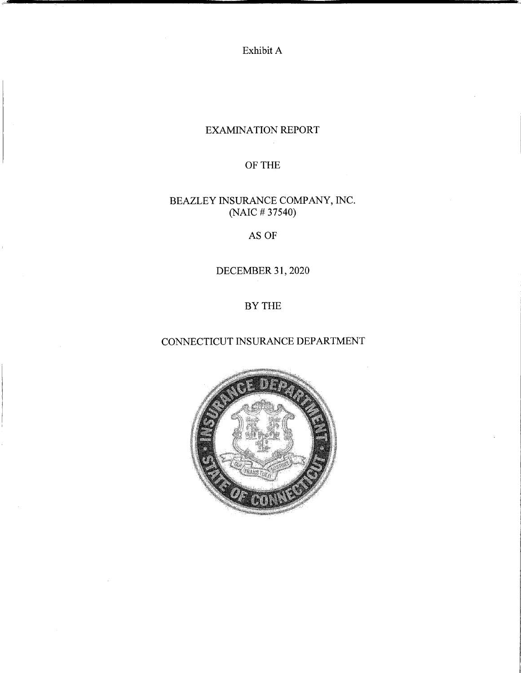Exhibit A

# EXAMINATION REPORT

# OF THE

## BEAZLEY INSURANCE COMPANY, INC. (NAIC # 37540)

# AS OF

# DECEMBER 31, 2020

# BYTHE

# CONNECTICUT INSURANCE DEPARTMENT

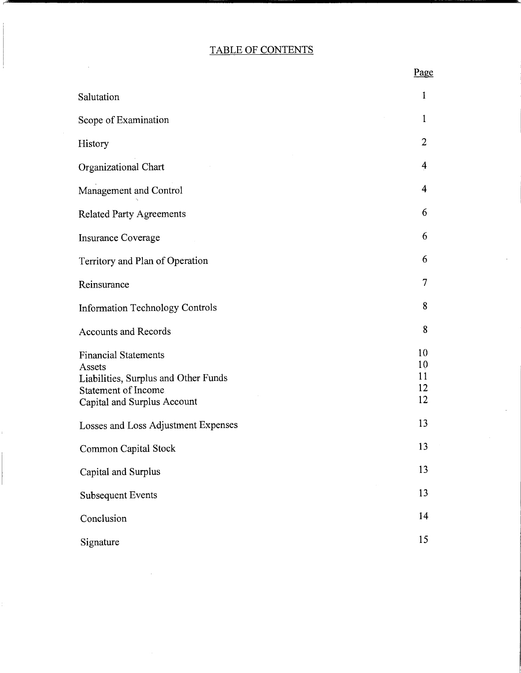# TABLE OF CONTENTS

 $\bar{\bar{z}}$ 

|                                                                                                                                            | <u>rago</u>                |
|--------------------------------------------------------------------------------------------------------------------------------------------|----------------------------|
| Salutation                                                                                                                                 | $\mathbf{1}$               |
| Scope of Examination                                                                                                                       | $\mathbf{1}$               |
| History                                                                                                                                    | $\overline{2}$             |
| Organizational Chart                                                                                                                       | 4                          |
| Management and Control                                                                                                                     | 4                          |
| <b>Related Party Agreements</b>                                                                                                            | 6                          |
| <b>Insurance Coverage</b>                                                                                                                  | 6                          |
| Territory and Plan of Operation                                                                                                            | 6                          |
| Reinsurance                                                                                                                                | 7                          |
| <b>Information Technology Controls</b>                                                                                                     | 8                          |
| <b>Accounts and Records</b>                                                                                                                | 8                          |
| <b>Financial Statements</b><br>Assets<br>Liabilities, Surplus and Other Funds<br><b>Statement of Income</b><br>Capital and Surplus Account | 10<br>10<br>11<br>12<br>12 |
| Losses and Loss Adjustment Expenses                                                                                                        | 13                         |
| Common Capital Stock                                                                                                                       | 13                         |
| Capital and Surplus                                                                                                                        | 13                         |
| <b>Subsequent Events</b>                                                                                                                   | 13                         |
| Conclusion                                                                                                                                 | 14                         |
| Signature                                                                                                                                  | 15                         |

 $\bar{z}$ 

Page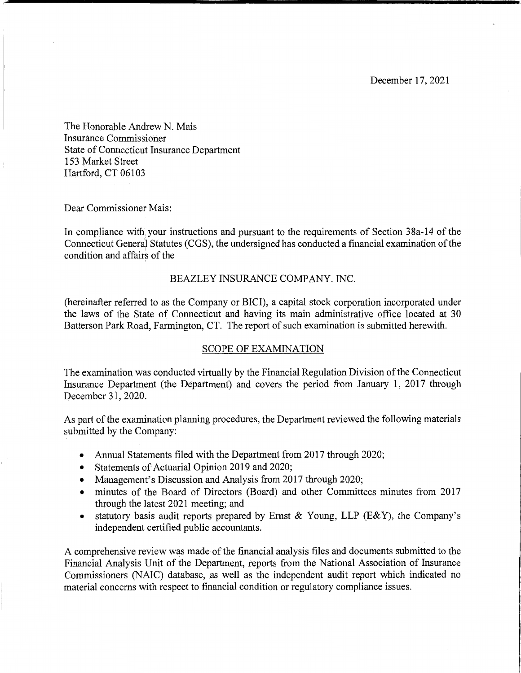December 17, 2021

The Honorable Andrew N. Mais Insurance Commissioner State of Connecticut Insurance Department 153 Market Street Hartford, CT 06103

Dear Commissioner Mais:

In compliance with your instructions and pursuant to the requirements of Section 38a-14 of the Connecticut General Statutes (COS), the undersigned has conducted a financial examination of the condition and affairs of the

#### BEAZLEY INSURANCE COMPANY. INC.

(hereinafter referred to as the Company or BICI), a capital stock corporation incorporated under the laws of the State of Connecticut and having its main administrative office located at 30 Batterson Park Road, Farmington, CT. The report of such examination is submitted herewith.

#### SCOPE OF EXAMINATION

The examination was conducted virtually by the Financial Regulation Division of the Connecticut Insurance Department (the Department) and covers the period from January 1, 2017 through December 31, 2020.

As part of the examination planning procedures, the Department reviewed the following materials submitted by the Company:

- Annual Statements filed with the Department from 2017 through 2020;
- Statements of Actuarial Opinion 2019 and 2020;
- Management's Discussion and Analysis from 2017 through 2020;
- minutes of the Board of Directors (Board) and other Committees minutes from 2017 through the latest 2021 meeting; and
- statutory basis audit reports prepared by Ernst & Young, LLP (E&Y), the Company's independent certified public accountants.

A comprehensive review was made of the financial analysis files and documents submitted to the Financial Analysis Unit of the Department, reports from the National Association of Insurance Commissioners (NAIC) database, as well as the independent audit report which indicated no material concerns with respect to financial condition or regulatory compliance issues.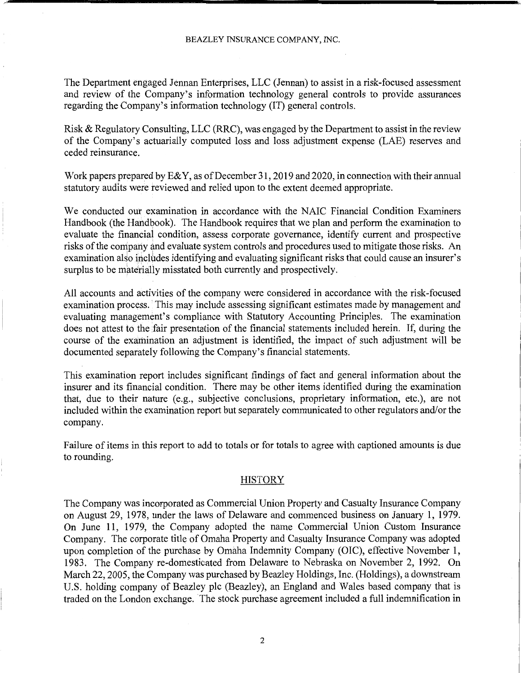The Department engaged Jennan Enterprises, LLC (Jennan) to assist in a risk-focused assessment and review of the Company's information technology general controls to provide assurances regarding the Company's information technology (IT) general controls.

Risk & Regulatory Consulting, LLC (RRC), was engaged by the Department to assist in the review of the Company's actuarially computed loss and loss adjustment expense (LAE) reserves and ceded reinsurance.

Work papers prepared by E&Y, as of December 31, 2019 and 2020, in connection with their annual statutory audits were reviewed and relied upon to the extent deemed appropriate.

We conducted our examination in accordance with the NAIC Financial Condition Examiners Handbook (the Handbook). The Handbook requires that we plan and perform the examination to evaluate the financial condition, assess corporate governance, identify current and prospective risks of the company and evaluate system controls and procedures used to mitigate those risks. An examination also includes identifying and evaluating significant risks that could cause an insurer's surplus to be materially misstated both currently and prospectively.

All accounts and activities of the company were considered in accordance with the risk-focused examination process. This may include assessing significant estimates made by management and evaluating management's compliance with Statutory Accounting Principles. The examination does not attest to the fair presentation of the financial statements included herein. If, during the course of the examination an adjustment is identified, the impact of such adjustment will be documented separately following the Company's financial statements.

This examination report includes significant findings of fact and general information about the insurer and its financial condition. There may be other items identified during the examination that, due to their nature (e.g., subjective conclusions, proprietary information, etc.), are not included within the examination report but separately communicated to other regulators and/or the company.

Failure of items in this report to add to totals or for totals to agree with captioned amounts is due to rounding.

#### **HISTORY**

The Company was incorporated as Commercial Union Property and Casualty Insurance Company on August 29, 1978, under the laws of Delaware and commenced business on January 1, 1979. On June 11, 1979, the Company adopted the name Commercial Union Custom Insurance Company. The corporate title of Omaha Property and Casualty Insurance Company was adopted upon completion of the purchase by Omaha Indemnity Company (OIC), effective November 1, 1983. The Company re-domesticated from Delaware to Nebraska on November 2, 1992. On March 22, 2005, the Company was purchased by Beazley Holdings, Inc. (Holdings), a downstream U.S. holding company of Beazley plc (Beazley), an England and Wales based company that is traded on the London exchange. The stock purchase agreement included a full indemnification in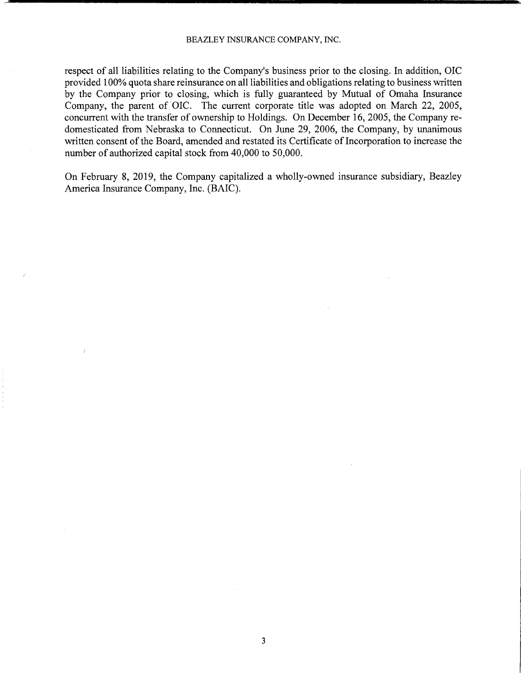respect of all liabilities relating to the Company's business prior to the closing. In addition, OIC provided 100% quota share reinsurance on all liabilities and obligations relating to business written by the Company prior to closing, which is fully guaranteed by Mutual of Omaha Insurance Company, the parent of OIC. The current corporate title was adopted on March 22, 2005, concurrent with the transfer of ownership to Holdings. On December 16, 2005, the Company redomesticated from Nebraska to Connecticut. On June 29, 2006, the Company, by unanimous written consent of the Board, amended and restated its Certificate of Incorporation to increase the number of authorized capital stock from 40,000 to 50,000.

On February 8, 2019, the Company capitalized a wholly-owned insurance subsidiary, Beazley America Insurance Company, Inc. (BAIC).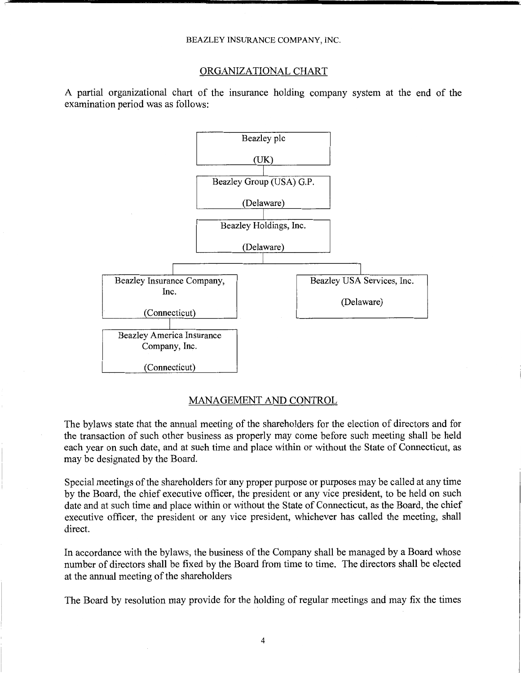#### ORGANIZATIONAL CHART

A partial organizational chart of the insurance holding company system at the end of the examination period was as follows:



#### MANAGEMENT AND CONTROL

The bylaws state that the annual meeting of the shareholders for the election of directors and for the transaction of such other business as properly may come before such meeting shall be held each year on such date, and at such time and place within or without the State of Connecticut, as may be designated by the Board.

Special meetings of the shareholders for any proper purpose or purposes may be called at any time by the Board, the chief executive officer, the president or any vice president, to be held on such date and at such time and place within or without the State of Connecticut, as the Board, the chief executive officer, the president or any vice president, whichever has called the meeting, shall direct.

In accordance with the bylaws, the business of the Company shall be managed by a Board whose number of directors shall be fixed by the Board from time to time. The directors shall be elected at the annual meeting of the shareholders

The Board by resolution may provide for the holding of regular meetings and may fix the times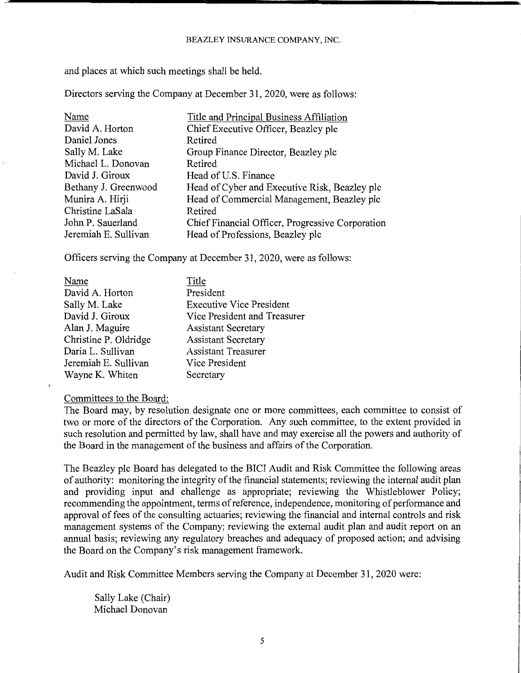and places at which such meetings shall be held.

Directors serving the Company at December 31, 2020, were as follows:

| Name                 | Title and Principal Business Affiliation         |
|----------------------|--------------------------------------------------|
| David A. Horton      | Chief Executive Officer, Beazley plc             |
| Daniel Jones         | Retired                                          |
| Sally M. Lake        | Group Finance Director, Beazley plc              |
| Michael L. Donovan   | Retired                                          |
| David J. Giroux      | Head of U.S. Finance                             |
| Bethany J. Greenwood | Head of Cyber and Executive Risk, Beazley plc    |
| Munira A. Hirji      | Head of Commercial Management, Beazley plc       |
| Christine LaSala     | Retired                                          |
| John P. Sauerland    | Chief Financial Officer, Progressive Corporation |
| Jeremiah E. Sullivan | Head of Professions, Beazley plc                 |

Officers serving the Company at December 31, 2020, were as follows:

| Name                  | Title                           |
|-----------------------|---------------------------------|
| David A. Horton       | President                       |
| Sally M. Lake         | <b>Executive Vice President</b> |
| David J. Giroux       | Vice President and Treasurer    |
| Alan J. Maguire       | <b>Assistant Secretary</b>      |
| Christine P. Oldridge | <b>Assistant Secretary</b>      |
| Daria L. Sullivan     | <b>Assistant Treasurer</b>      |
| Jeremiah E. Sullivan  | Vice President                  |
| Wayne K. Whiten       | Secretary                       |
|                       |                                 |

#### Committees to the Board:

The Board may, by resolution designate one or more committees, each committee to consist of two or more of the directors of the Corporation. Any such committee, to the extent provided in such resolution and permitted by law, shall have and may exercise all the powers and authority of the Board in the management of the business and affairs of the Corporation.

The Beazley plc Board has delegated to the BICI Audit and Risk Committee the following areas of authority: monitoring the integrity of the financial statements; reviewing the internal audit plan and providing input and challenge as appropriate; reviewing the Whistleblower Policy; recommending the appointment, terms of reference, independence, monitoring of performance and approval of fees of the consulting actuaries; reviewing the financial and internal controls and risk management systems of the Company; reviewing the external audit plan and audit report on an annual basis; reviewing any regulatory breaches and adequacy of proposed action; and advising the Board on the Company's risk management framework.

Audit and Risk Committee Members serving the Company at December 31, 2020 were:

Sally Lake (Chair) Michael Donovan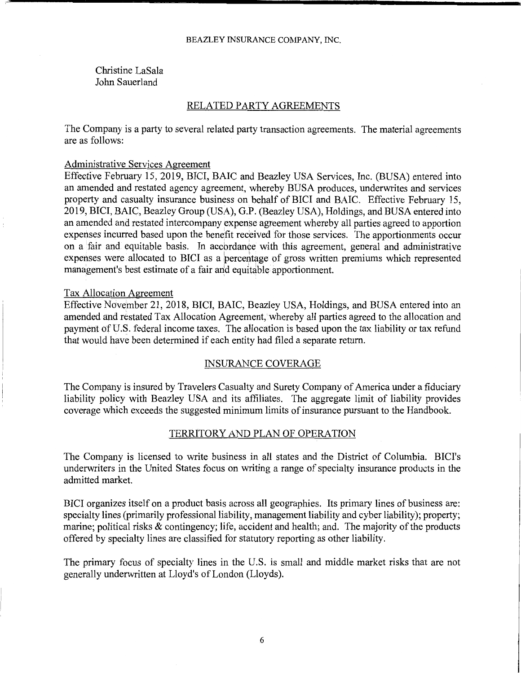Christine LaSala John Sauerland

#### RELATED PARTY AGREEMENTS

The Company is a party to several related party transaction agreements. The material agreements are as follows:

#### Administrative Services Agreement

Effective February 15, 2019, BICI, BAIC and Beazley USA Services, Inc. (BUSA) entered into an amended and restated agency agreement, whereby BUSA produces, underwrites and services property and casualty insurance business on behalf of BICI and BAIC. Effective February 15, 2019, BICI, BAIC, Beazley Group (USA), G.P. (Beazley USA), Holdings, and BUSA entered into an amended and restated intercompany expense agreement whereby all parties agreed to apportion expenses incurred based upon the benefit received for those services. The apportionments occur on a fair and equitable basis. In accbrdance with this agreement, general and administrative expenses were allocated to BICI as a percentage of gross written premiums which represented management's best estimate of a fair and equitable apportionment.

#### Tax Allocation Agreement

Effective November 21, 2018, BICI, BAIC, Beazley USA, Holdings, and BUSA entered into an amended and restated Tax Allocation Agreement, whereby all parties agreed to the allocation and payment of U.S. federal income taxes. The allocation is based upon the tax liability or tax refund that would have been determined if each entity had filed a separate return.

#### INSURANCE COVERAGE

The Company is insured by Travelers Casualty and Surety Company of America under a fiduciary liability policy with Beazley USA and its affiliates. The aggregate limit of liability provides coverage which exceeds the suggested minimum limits of insurance pursuant to the Handbook.

#### TERRITORY AND PLAN OF OPERATION

The Company is licensed to write business in all states and the District of Columbia. BICI's underwriters in the United States focus on writing a range of specialty insurance products in the admitted market.

BICI organizes itself on a product basis across all geographies. Its primary lines of business are: specialty lines (primarily professional liability, management liability and cyber liability); property; marine; political risks & contingency; life, accident and health; and. The majority of the products offered by specialty lines are classified for statutory reporting as other liability.

The primary focus of specialty lines in the U.S. is small and middle market risks that are not generally underwritten at Lloyd's of London (Lloyds).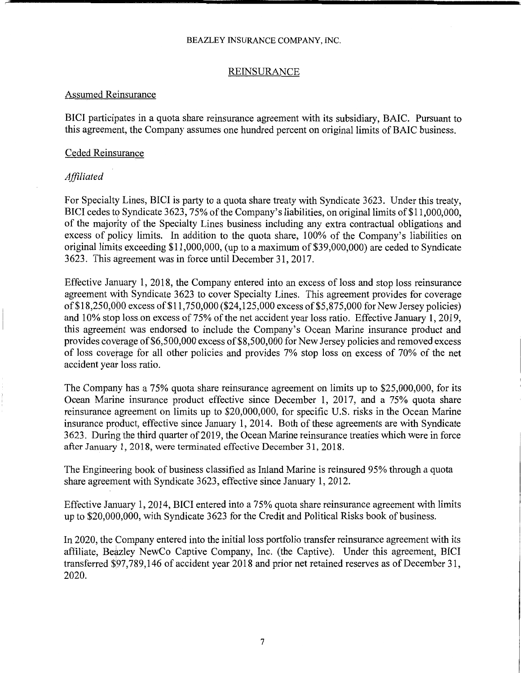#### REINSURANCE

#### Assumed Reinsurance

BICI participates in a quota share reinsurance agreement with its subsidiary, BAIC. Pursuant to this agreement, the Company assumes one hundred percent on original limits of BAIC business.

#### Ceded Reinsurance

#### *Affiliated*

For Specialty Lines, BICI is party to a quota share treaty with Syndicate 3623. Under this treaty, BICI cedes to Syndicate 3623, 75% of the Company's liabilities, on original limits of \$11,000,000, of the majority of the Specialty Lines business including any extra contractual obligations and excess of policy limits. In addition to the quota share, 100% of the Company's liabilities on original limits exceeding \$11,000,000, (up to a maximum of \$39,000,000) are ceded to Syndicate 3623. This agreement was in force until December 31, 2017.

Effective January 1, 2018, the Company entered into an excess of loss and stop loss reinsurance agreement with Syndicate 3623 to cover Specialty Lines. This agreement provides for coverage of \$18,250,000 excess of \$11,750,000 (\$24,125,000 excess of \$5,875,000 for New Jersey policies) and 10% stop loss on excess of 75% of the net accident year loss ratio. Effective January 1, 2019, this agreement was endorsed to include the Company's Ocean Marine insurance product and provides coverage of \$6,500,000 excess of \$8,500,000 for New Jersey policies and removed excess of loss coverage for all other policies and provides 7% stop loss on excess of 70% of the net accident year loss ratio.

The Company has a 75% quota share reinsurance agreement on limits up to \$25,000,000, for its Ocean Marine insurance product effective since December 1, 2017, and a 75% quota share reinsurance agreement on limits up to \$20,000,000, for specific U.S. risks in the Ocean Marine insurance product, effective since January 1, 2014. Both of these agreements are with Syndicate 3623. During the third quarter of 2019, the Ocean Marine reinsurance treaties which were in force after January 1, 2018, were terminated effective December 31, 2018.

The Engineering book of business classified as Inland Marine is reinsured 95% through a quota share agreement with Syndicate 3623, effective since January 1, 2012.

Effective January 1, 2014, BICI entered into a 75% quota share reinsurance agreement with limits up to \$20,000,000, with Syndicate 3623 for the Credit and Political Risks book of business.

In 2020, the Company entered into the initial loss portfolio transfer reinsurance agreement with its affiliate, Beazley NewCo Captive Company, Inc. (the Captive). Under this agreement, BICI transferred \$97,789,146 of accident year 2018 and prior net retained reserves as of December 31, 2020.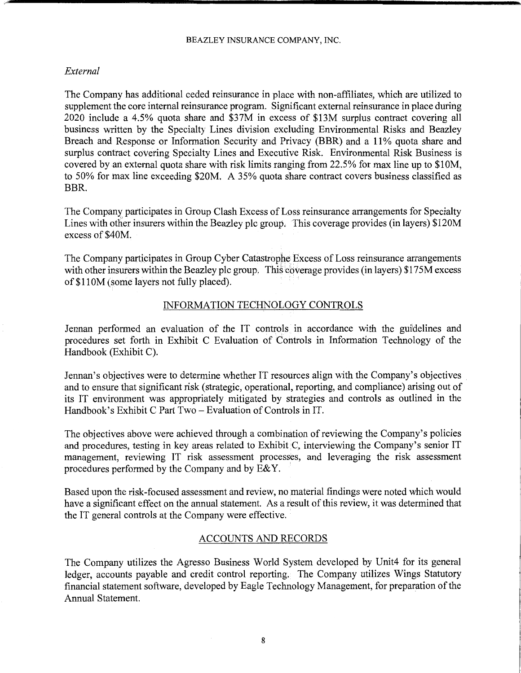#### *External*

The Company has additional ceded reinsurance in place with non-affiliates, which are utilized to supplement the core internal reinsurance program. Significant external reinsurance in place during 2020 include a 4.5% quota share and \$37M in excess of \$13M surplus contract covering all business written by the Specialty Lines division excluding Environmental Risks and Beazley Breach and Response or Information Security and Privacy (BBR) and a 11% quota share and surplus contract covering Specialty Lines and Executive Risk. Environmental Risk Business is covered by an external quota share with risk limits ranging from 22.5% for max line up to \$10M, to 50% for max line exceeding \$20M. A 35% quota share contract covers business classified as BBR.

The Company participates in Group Clash Excess of Loss reinsurance arrangements for Specialty Lines with other insurers within the Beazley plc group. This coverage provides (in layers) \$120M excess of \$40M.

The Company participates in Group Cyber Catastroplie Excess of Loss reinsurance arrangements with other insurers within the Beazley plc group. This coverage provides (in layers) \$175M excess of \$110M (some layers not fully placed).

#### INFORMATION TECHNOLOGY CONTROLS

Jennan performed an evaluation of the IT controls in accordance with the guildelines and procedures set forth in Exhibit C Evaluation of Controls in Information Technology of the Handbook (Exhibit C).

Jennan's objectives were to determine whether IT resources align with the Company's objectives and to ensure that significant risk (strategic, operational, reporting, and compliance) arising out of its IT environment was appropriately mitigated by strategies and controls as outlined in the Handbook's Exhibit C Part Two - Evaluation of Controls in IT.

The objectives above were achieved through a combination of reviewing the Company's policies and procedures, testing in key areas related to Exhibit C, interviewing the Company's senior IT management, reviewing IT risk assessment processes, and leveraging the risk assessment procedures performed by the Company and by E& Y.

Based upon the risk-focused assessment and review, no material findings were noted which would have a significant effect on the annual statement. As a result of this review, it was determined that the IT general controls at the Company were effective.

#### ACCOUNTS AND RECORDS

The Company utilizes the Agresso Business World System developed by Unit4 for its general ledger, accounts payable and credit control reporting. The Company utilizes Wings Statutory financial statement software, developed by Eagle Technology Management, for preparation of the Annual Statement.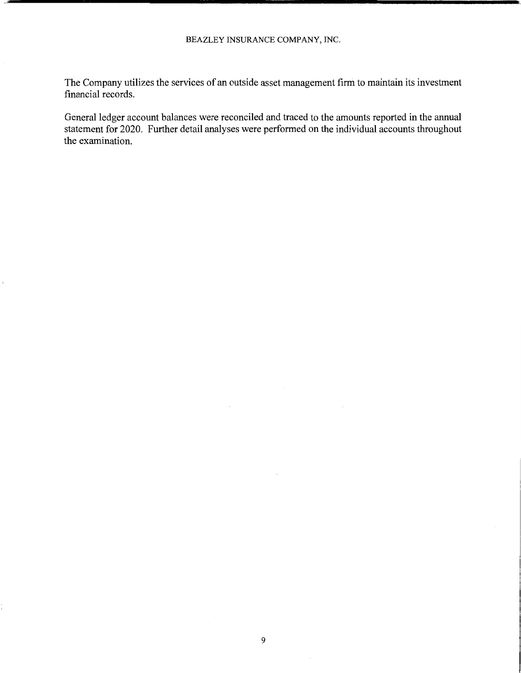The Company utilizes the services of an outside asset management firm to maintain its investment financial records.

General ledger account balances were reconciled and traced to the amounts reported in the annual statement for 2020. Further detail analyses were performed on the individual accounts throughout the examination.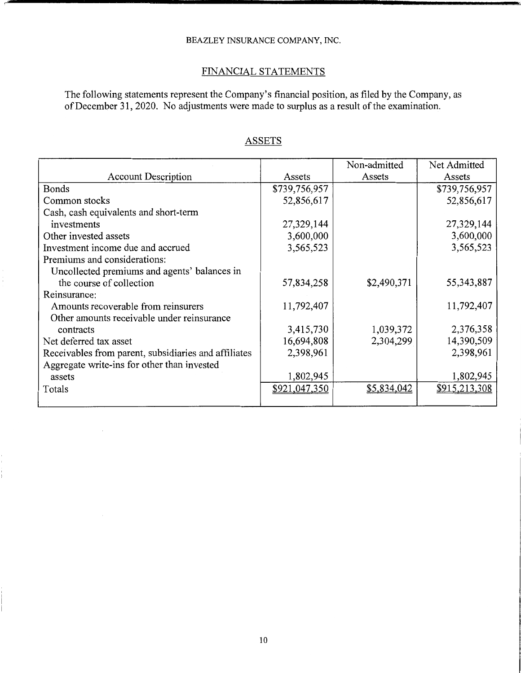#### FINANCIAL STATEMENTS

The following statements represent the Company's financial position, as filed by the Company, as of December 31, 2020. No adjustments were made to surplus as a result of the examination.

|                                                      |               | Non-admitted | Net Admitted  |
|------------------------------------------------------|---------------|--------------|---------------|
| <b>Account Description</b>                           | Assets        | Assets       | Assets        |
| <b>Bonds</b>                                         | \$739,756,957 |              | \$739,756,957 |
| Common stocks                                        | 52,856,617    |              | 52,856,617    |
| Cash, cash equivalents and short-term                |               |              |               |
| investments                                          | 27,329,144    |              | 27,329,144    |
| Other invested assets                                | 3,600,000     |              | 3,600,000     |
| Investment income due and accrued                    | 3,565,523     |              | 3,565,523     |
| Premiums and considerations:                         |               |              |               |
| Uncollected premiums and agents' balances in         |               |              |               |
| the course of collection                             | 57,834,258    | \$2,490,371  | 55, 343, 887  |
| Reinsurance:                                         |               |              |               |
| Amounts recoverable from reinsurers                  | 11,792,407    |              | 11,792,407    |
| Other amounts receivable under reinsurance           |               |              |               |
| contracts                                            | 3,415,730     | 1,039,372    | 2,376,358     |
| Net deferred tax asset                               | 16,694,808    | 2,304,299    | 14,390,509    |
| Receivables from parent, subsidiaries and affiliates | 2,398,961     |              | 2,398,961     |
| Aggregate write-ins for other than invested          |               |              |               |
| assets                                               | 1,802,945     |              | 1,802,945     |
| Totals                                               | \$921,047,350 | \$5,834,042  | \$915,213,308 |
|                                                      |               |              |               |

#### ASSETS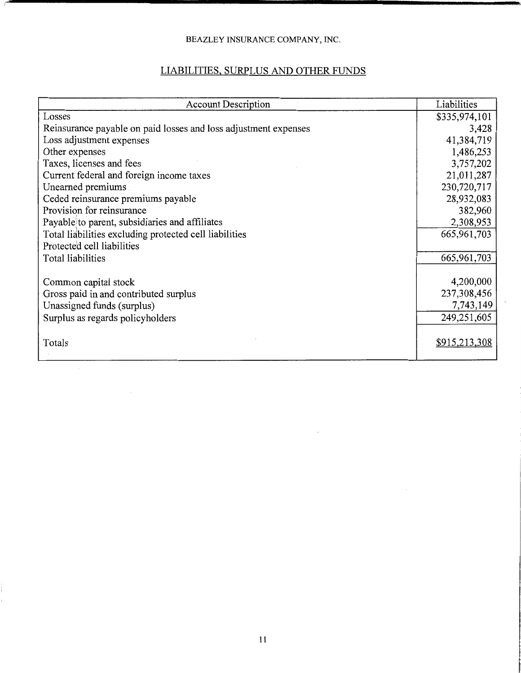# LIABILITIES, SURPLUS AND OTHER FUNDS

| <b>Account Description</b>                                      | Liabilities   |
|-----------------------------------------------------------------|---------------|
| Losses                                                          | \$335,974,101 |
| Reinsurance payable on paid losses and loss adjustment expenses | 3,428         |
| Loss adjustment expenses                                        | 41,384,719    |
| Other expenses                                                  | 1,486,253     |
| Taxes, licenses and fees                                        | 3,757,202     |
| Current federal and foreign income taxes                        | 21,011,287    |
| Unearned premiums                                               | 230,720,717   |
| Ceded reinsurance premiums payable                              | 28,932,083    |
| Provision for reinsurance                                       | 382,960       |
| Payable to parent, subsidiaries and affiliates                  | 2,308,953     |
| Total liabilities excluding protected cell liabilities          | 665, 961, 703 |
| Protected cell liabilities                                      |               |
| Total liabilities                                               | 665, 961, 703 |
|                                                                 |               |
| Common capital stock                                            | 4,200,000     |
| Gross paid in and contributed surplus                           | 237,308,456   |
| Unassigned funds (surplus)                                      | 7,743,149     |
| Surplus as regards policyholders                                | 249,251,605   |
|                                                                 |               |
| Totals                                                          | \$915,213,308 |
|                                                                 |               |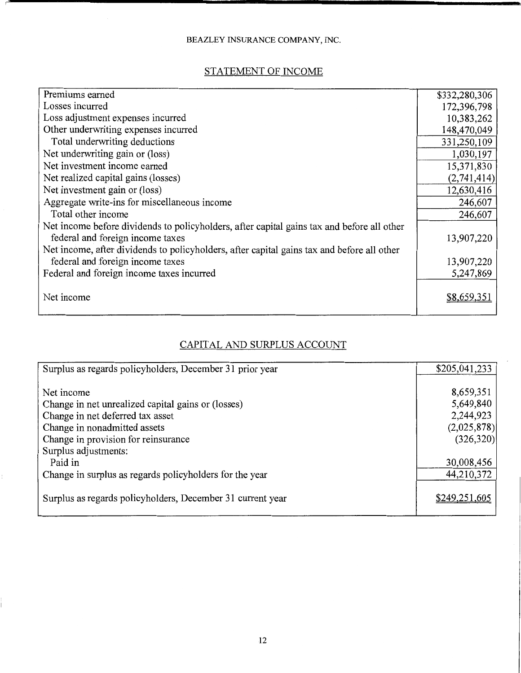#### STATEMENT OF INCOME

| Premiums earned                                                                            | \$332,280,306 |
|--------------------------------------------------------------------------------------------|---------------|
| Losses incurred                                                                            | 172,396,798   |
| Loss adjustment expenses incurred                                                          | 10,383,262    |
| Other underwriting expenses incurred                                                       | 148,470,049   |
| Total underwriting deductions                                                              | 331,250,109   |
| Net underwriting gain or (loss)                                                            | 1,030,197     |
| Net investment income earned                                                               | 15,371,830    |
| Net realized capital gains (losses)                                                        | (2,741,414)   |
| Net investment gain or (loss)                                                              | 12,630,416    |
| Aggregate write-ins for miscellaneous income                                               | 246,607       |
| Total other income                                                                         | 246,607       |
| Net income before dividends to policyholders, after capital gains tax and before all other |               |
| federal and foreign income taxes                                                           | 13,907,220    |
| Net income, after dividends to policyholders, after capital gains tax and before all other |               |
| federal and foreign income taxes                                                           | 13,907,220    |
| Federal and foreign income taxes incurred                                                  | 5,247,869     |
|                                                                                            |               |
| Net income                                                                                 | \$8,659,35    |
|                                                                                            |               |

# CAPITAL AND SURPLUS ACCOUNT

| Surplus as regards policyholders, December 31 prior year   | \$205,041,233 |
|------------------------------------------------------------|---------------|
| Net income                                                 | 8,659,351     |
| Change in net unrealized capital gains or (losses)         | 5,649,840     |
| Change in net deferred tax asset                           | 2,244,923     |
| Change in nonadmitted assets                               | (2,025,878)   |
| Change in provision for reinsurance                        | (326, 320)    |
| Surplus adjustments:                                       |               |
| Paid in                                                    | 30,008,456    |
| Change in surplus as regards policyholders for the year    | 44,210,372    |
| Surplus as regards policyholders, December 31 current year | \$249,251,605 |

ţ.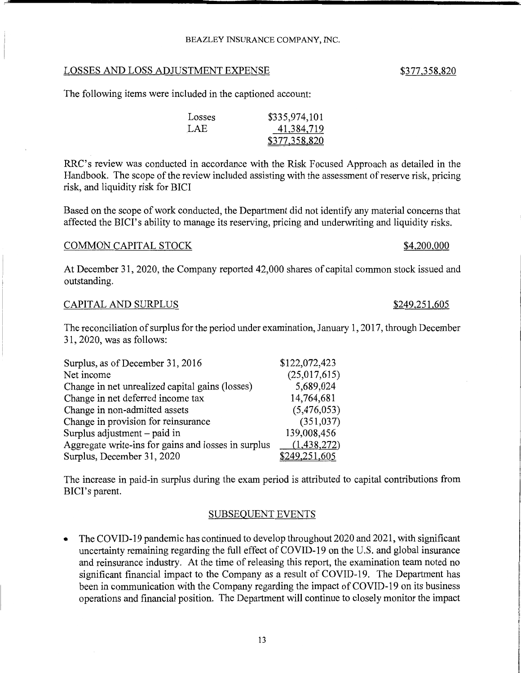# 13

#### BEAZLEY INSURANCE COMPANY, INC.

# LOSSES AND LOSS ADJUSTMENT EXPENSE \$377,358,820

The following items were included in the captioned account:

| Losses | \$335,974,101 |
|--------|---------------|
| LAE    | 41,384,719    |
|        | \$377,358,820 |

RRC's review was conducted in accordance with the Risk Focused Approach as detailed in the Handbook. The scope of the review included assisting with the assessment of reserve risk, pricing risk, and liquidity risk for BICI

Based on the scope of work conducted, the Department did not identify any material concerns that affected the BICl's ability to manage its reserving, pricing and underwriting and liquidity risks.

#### COMMON CAPITAL STOCK \$4,200,000

At December 31, 2020, the Company reported 42,000 shares of capital common stock issued and outstanding.

#### CAPITAL AND SURPLUS \$249,251,605

The reconciliation of surplus for the period under examination, January 1, 2017, through December 31, 2020, was as follows:

| Surplus, as of December 31, 2016                    | \$122,072,423        |
|-----------------------------------------------------|----------------------|
| Net income                                          | (25,017,615)         |
| Change in net unrealized capital gains (losses)     | 5,689,024            |
| Change in net deferred income tax                   | 14,764,681           |
| Change in non-admitted assets                       | (5,476,053)          |
| Change in provision for reinsurance                 | (351, 037)           |
| Surplus adjustment – paid in                        | 139,008,456          |
| Aggregate write-ins for gains and losses in surplus | (1,438,272)          |
| Surplus, December 31, 2020                          | <u>\$249,251,605</u> |

The increase in paid-in surplus during the exam period is attributed to capital contributions from BICI's parent.

### SUBSEQUENT EVENTS

• The COVID-19 pandemic has continued to develop throughout 2020 and 2021, with significant uncertainty remaining regarding the full effect of COVID-19 on the U.S. and global insurance and reinsurance industry. At the time of releasing this report, the examination team noted no significant financial impact to the Company as a result of COVID-19. The Department has been in communication with the Company regarding the impact of COVID-19 on its business operations and financial position. The Department will continue to closely monitor the impact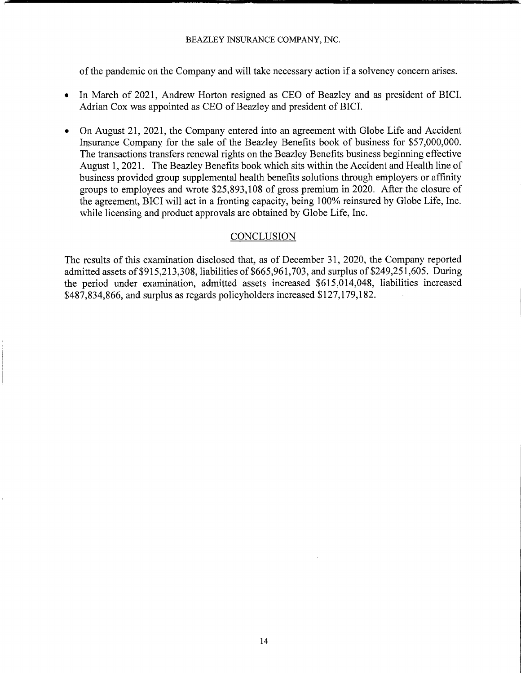of the pandemic on the Company and will take necessary action if a solvency concern arises.

- In March of 2021, Andrew Horton resigned as CEO of Beazley and as president of BICI. Adrian Cox was appointed as CEO of Beazley and president of BICI.
- On August 21, 2021, the Company entered into an agreement with Globe Life and Accident Insurance Company for the sale of the Beazley Benefits book of business for \$57,000,000. The transactions transfers renewal rights on the Beazley Benefits business beginning effective August 1, 2021. The Beazley Benefits book which sits within the Accident and Health line of business provided group supplemental health benefits solutions through employers or affinity groups to employees and wrote \$25,893,108 of gross premium in 2020. After the closure of the agreement, BICI will act in a fronting capacity, being 100% reinsured by Globe Life, Inc. while licensing and product approvals are obtained by Globe Life, Inc.

#### **CONCLUSION**

The results of this examination disclosed that, as of December 31, 2020, the Company reported admitted assets of \$915,213,308, liabilities of \$665,961,703, and surplus of \$249,251,605. During the period under examination, admitted assets increased \$615,014,048, liabilities increased \$487,834,866, and surplus as regards policyholders increased \$127,179,182.